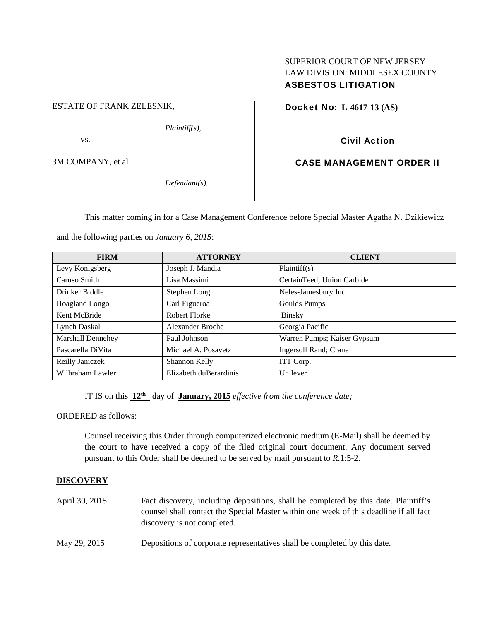# SUPERIOR COURT OF NEW JERSEY LAW DIVISION: MIDDLESEX COUNTY ASBESTOS LITIGATION

ESTATE OF FRANK ZELESNIK,

*Plaintiff(s),* 

vs.

3M COMPANY, et al

*Defendant(s).* 

Docket No: **L-4617-13 (AS)** 

Civil Action

CASE MANAGEMENT ORDER II

This matter coming in for a Case Management Conference before Special Master Agatha N. Dzikiewicz

and the following parties on *January 6, 2015*:

| <b>FIRM</b>              | <b>ATTORNEY</b>        | <b>CLIENT</b>               |
|--------------------------|------------------------|-----------------------------|
| Levy Konigsberg          | Joseph J. Mandia       | Plaintiff(s)                |
| Caruso Smith             | Lisa Massimi           | CertainTeed; Union Carbide  |
| Drinker Biddle           | Stephen Long           | Neles-Jamesbury Inc.        |
| <b>Hoagland Longo</b>    | Carl Figueroa          | Goulds Pumps                |
| Kent McBride             | Robert Florke          | <b>Binsky</b>               |
| <b>Lynch Daskal</b>      | Alexander Broche       | Georgia Pacific             |
| <b>Marshall Dennehey</b> | Paul Johnson           | Warren Pumps; Kaiser Gypsum |
| Pascarella DiVita        | Michael A. Posavetz    | Ingersoll Rand; Crane       |
| Reilly Janiczek          | Shannon Kelly          | ITT Corp.                   |
| Wilbraham Lawler         | Elizabeth duBerardinis | Unilever                    |

IT IS on this **12th** day of **January, 2015** *effective from the conference date;*

ORDERED as follows:

Counsel receiving this Order through computerized electronic medium (E-Mail) shall be deemed by the court to have received a copy of the filed original court document. Any document served pursuant to this Order shall be deemed to be served by mail pursuant to *R*.1:5-2.

## **DISCOVERY**

- April 30, 2015 Fact discovery, including depositions, shall be completed by this date. Plaintiff's counsel shall contact the Special Master within one week of this deadline if all fact discovery is not completed.
- May 29, 2015 Depositions of corporate representatives shall be completed by this date.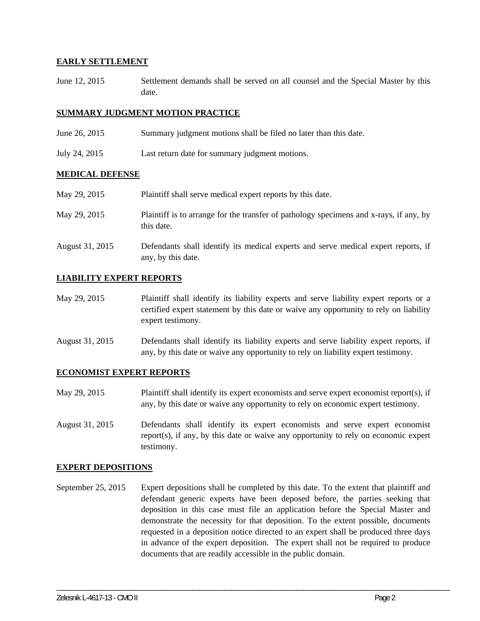#### **EARLY SETTLEMENT**

June 12, 2015 Settlement demands shall be served on all counsel and the Special Master by this date.

### **SUMMARY JUDGMENT MOTION PRACTICE**

- June 26, 2015 Summary judgment motions shall be filed no later than this date.
- July 24, 2015 Last return date for summary judgment motions.

#### **MEDICAL DEFENSE**

May 29, 2015 Plaintiff shall serve medical expert reports by this date. May 29, 2015 Plaintiff is to arrange for the transfer of pathology specimens and x-rays, if any, by this date. August 31, 2015 Defendants shall identify its medical experts and serve medical expert reports, if any, by this date.

## **LIABILITY EXPERT REPORTS**

- May 29, 2015 Plaintiff shall identify its liability experts and serve liability expert reports or a certified expert statement by this date or waive any opportunity to rely on liability expert testimony.
- August 31, 2015 Defendants shall identify its liability experts and serve liability expert reports, if any, by this date or waive any opportunity to rely on liability expert testimony.

#### **ECONOMIST EXPERT REPORTS**

- May 29, 2015 Plaintiff shall identify its expert economists and serve expert economist report(s), if any, by this date or waive any opportunity to rely on economic expert testimony.
- August 31, 2015 Defendants shall identify its expert economists and serve expert economist report(s), if any, by this date or waive any opportunity to rely on economic expert testimony.

#### **EXPERT DEPOSITIONS**

September 25, 2015 Expert depositions shall be completed by this date. To the extent that plaintiff and defendant generic experts have been deposed before, the parties seeking that deposition in this case must file an application before the Special Master and demonstrate the necessity for that deposition. To the extent possible, documents requested in a deposition notice directed to an expert shall be produced three days in advance of the expert deposition. The expert shall not be required to produce documents that are readily accessible in the public domain.

\_\_\_\_\_\_\_\_\_\_\_\_\_\_\_\_\_\_\_\_\_\_\_\_\_\_\_\_\_\_\_\_\_\_\_\_\_\_\_\_\_\_\_\_\_\_\_\_\_\_\_\_\_\_\_\_\_\_\_\_\_\_\_\_\_\_\_\_\_\_\_\_\_\_\_\_\_\_\_\_\_\_\_\_\_\_\_\_\_\_\_\_\_\_\_\_\_\_\_\_\_\_\_\_\_\_\_\_\_\_